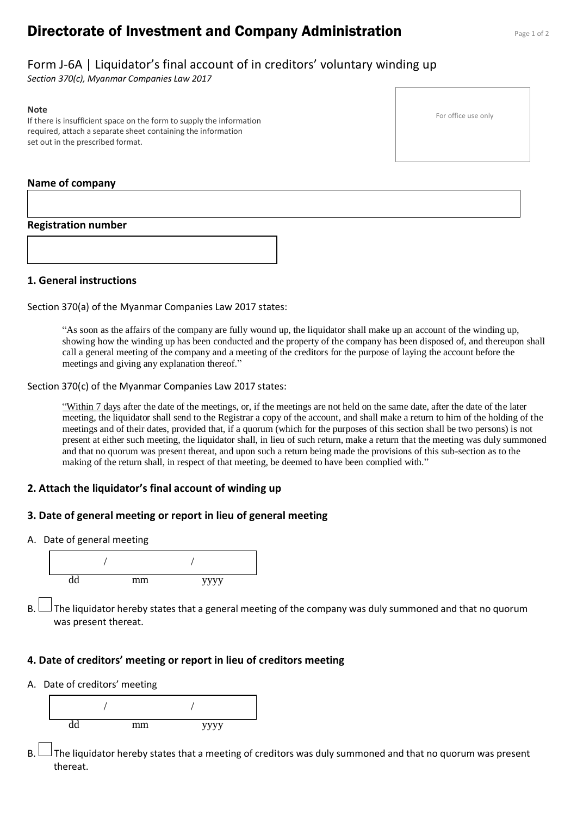# **Directorate of Investment and Company Administration** Page 1 of 2

## Form J-6A | Liquidator's final account of in creditors' voluntary winding up

*Section 370(c), Myanmar Companies Law 2017*

#### **Note**

If there is insufficient space on the form to supply the information required, attach a separate sheet containing the information set out in the prescribed format.

#### **Name of company**

#### **Registration number**

#### **1. General instructions**

Section 370(a) of the Myanmar Companies Law 2017 states:

"As soon as the affairs of the company are fully wound up, the liquidator shall make up an account of the winding up, showing how the winding up has been conducted and the property of the company has been disposed of, and thereupon shall call a general meeting of the company and a meeting of the creditors for the purpose of laying the account before the meetings and giving any explanation thereof."

#### Section 370(c) of the Myanmar Companies Law 2017 states:

"Within 7 days after the date of the meetings, or, if the meetings are not held on the same date, after the date of the later meeting, the liquidator shall send to the Registrar a copy of the account, and shall make a return to him of the holding of the meetings and of their dates, provided that, if a quorum (which for the purposes of this section shall be two persons) is not present at either such meeting, the liquidator shall, in lieu of such return, make a return that the meeting was duly summoned and that no quorum was present thereat, and upon such a return being made the provisions of this sub-section as to the making of the return shall, in respect of that meeting, be deemed to have been complied with."

### **2. Attach the liquidator's final account of winding up**

## **3. Date of general meeting or report in lieu of general meeting**

A. Date of general meeting



B.  $\Box$  The liquidator hereby states that a general meeting of the company was duly summoned and that no quorum was present thereat.

## **4. Date of creditors' meeting or report in lieu of creditors meeting**

A. Date of creditors' meeting



B.  $\Box$  The liquidator hereby states that a meeting of creditors was duly summoned and that no quorum was present thereat.